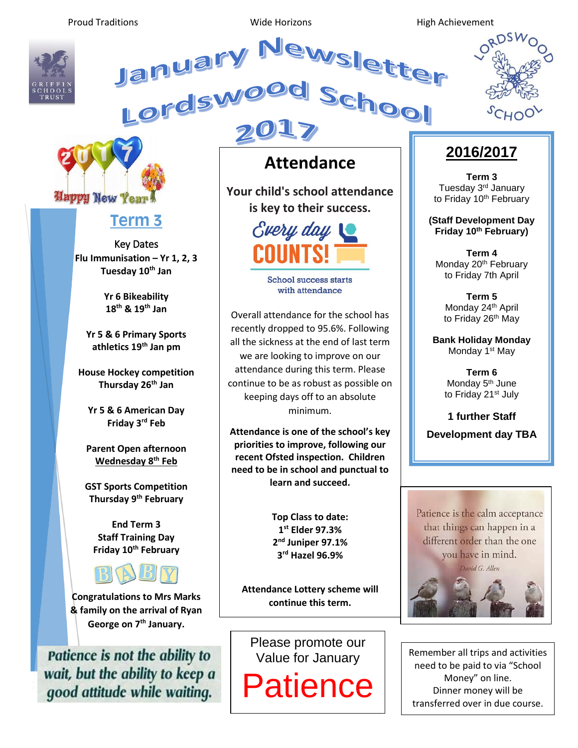Proud Traditions **No. 2018** Wide Horizons **Microsoft Contains High Achievement** 



January Newslette



## **Term 3**

Key Dates **Flu Immunisation – Yr 1, 2, 3 Tuesday 10th Jan**

> **Yr 6 Bikeability 18th & 19th Jan**

**Yr 5 & 6 Primary Sports athletics 19th Jan pm**

**House Hockey competition Thursday 26th Jan**

**Yr 5 & 6 American Day Friday 3rd Feb**

**Parent Open afternoon Wednesday 8th Feb**

**GST Sports Competition Thursday 9th February**

**End Term 3 Staff Training Day Friday 10th February**



**Congratulations to Mrs Marks & family on the arrival of Ryan George on 7th January.**

Patience is not the ability to wait, but the ability to keep a good attitude while waiting.

# **Attendance**

ewslet

**Your child's school attendance is key to their success.**



**School success starts** with attendance

Overall attendance for the school has recently dropped to 95.6%. Following all the sickness at the end of last term we are looking to improve on our attendance during this term. Please continue to be as robust as possible on keeping days off to an absolute minimum.

**Attendance is one of the school's key priorities to improve, following our recent Ofsted inspection. Children need to be in school and punctual to learn and succeed.**

> **Top Class to date: st Elder 97.3% nd Juniper 97.1% rd Hazel 96.9%**

**Attendance Lottery scheme will continue this term.**

Please promote our Value for January

Patience

#### **2016/2017**

**Term 3** Tuesday 3rd January to Friday 10<sup>th</sup> February

**(Staff Development Day Friday 10th February)**

**Term 4** Monday 20<sup>th</sup> February to Friday 7th April

**Term 5** Monday 24<sup>th</sup> April to Friday 26<sup>th</sup> May

**Bank Holiday Monday** Monday 1<sup>st</sup> May

> **Term 6** Monday 5<sup>th</sup> June to Friday 21<sup>st</sup> July

**1 further Staff Development day TBA**



Remember all trips and activities need to be paid to via "School Money" on line. Dinner money will be transferred over in due course.